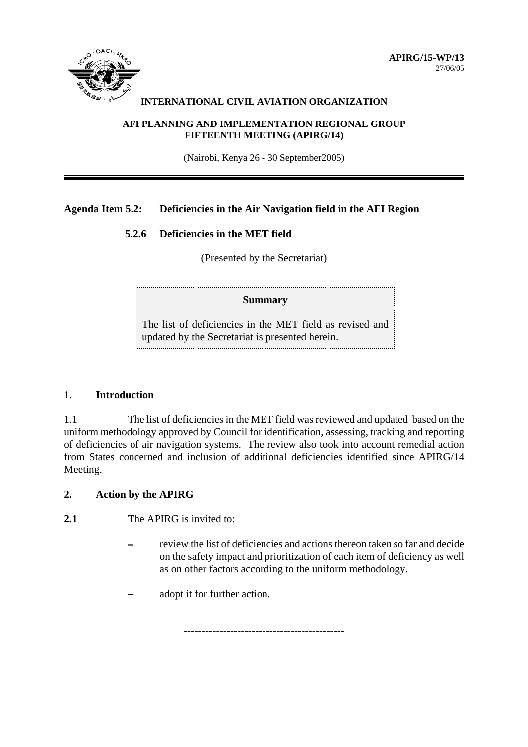

#### **INTERNATIONAL CIVIL AVIATION ORGANIZATION**

#### **AFI PLANNING AND IMPLEMENTATION REGIONAL GROUP FIFTEENTH MEETING (APIRG/14)**

(Nairobi, Kenya 26 - 30 September2005)

# **Agenda Item 5.2: Deficiencies in the Air Navigation field in the AFI Region**

### **5.2.6 Deficiencies in the MET field**

(Presented by the Secretariat)

### **Summary**

The list of deficiencies in the MET field as revised and updated by the Secretariat is presented herein.

### 1. **Introduction**

1.1 The list of deficiencies in the MET field was reviewed and updated based on the uniform methodology approved by Council for identification, assessing, tracking and reporting of deficiencies of air navigation systems. The review also took into account remedial action from States concerned and inclusion of additional deficiencies identified since APIRG/14 Meeting.

**---------------------------------------------**

## **2. Action by the APIRG**

**2.1** The APIRG is invited to:

- review the list of deficiencies and actions thereon taken so far and decide on the safety impact and prioritization of each item of deficiency as well as on other factors according to the uniform methodology.
- adopt it for further action.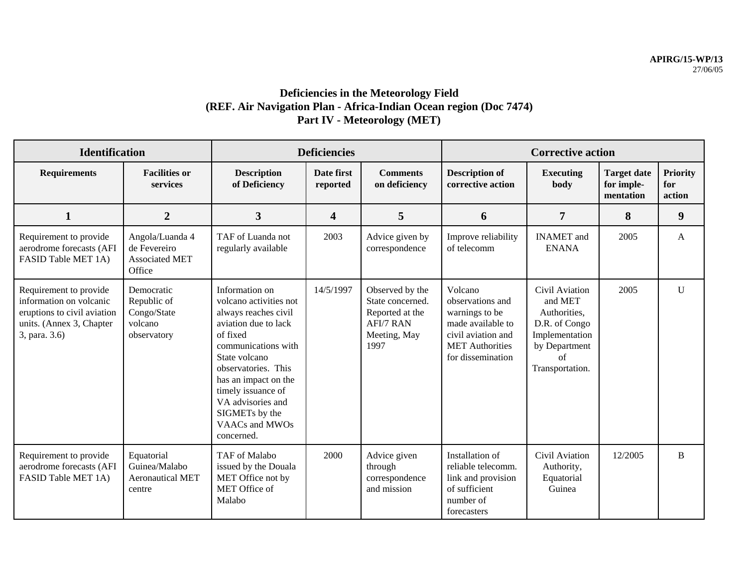# **Deficiencies in the Meteorology Field (REF. Air Navigation Plan - Africa-Indian Ocean region (Doc 7474) Part IV - Meteorology (MET)**

| <b>Identification</b>                                                                                                         |                                                                    | <b>Deficiencies</b>                                                                                                                                                                                                                                                                      |                         |                                                                                                    | <b>Corrective action</b>                                                                                                                |                                                                                                                        |                                               |                                  |
|-------------------------------------------------------------------------------------------------------------------------------|--------------------------------------------------------------------|------------------------------------------------------------------------------------------------------------------------------------------------------------------------------------------------------------------------------------------------------------------------------------------|-------------------------|----------------------------------------------------------------------------------------------------|-----------------------------------------------------------------------------------------------------------------------------------------|------------------------------------------------------------------------------------------------------------------------|-----------------------------------------------|----------------------------------|
| <b>Requirements</b>                                                                                                           | <b>Facilities or</b><br>services                                   | <b>Description</b><br>of Deficiency                                                                                                                                                                                                                                                      | Date first<br>reported  | <b>Comments</b><br>on deficiency                                                                   | <b>Description of</b><br>corrective action                                                                                              | <b>Executing</b><br>body                                                                                               | <b>Target date</b><br>for imple-<br>mentation | <b>Priority</b><br>for<br>action |
| 1                                                                                                                             | $\overline{2}$                                                     | $\overline{3}$                                                                                                                                                                                                                                                                           | $\overline{\mathbf{4}}$ | 5                                                                                                  | 6                                                                                                                                       | $\overline{7}$                                                                                                         | 8                                             | $\boldsymbol{9}$                 |
| Requirement to provide<br>aerodrome forecasts (AFI<br>FASID Table MET 1A)                                                     | Angola/Luanda 4<br>de Fevereiro<br><b>Associated MET</b><br>Office | TAF of Luanda not<br>regularly available                                                                                                                                                                                                                                                 | 2003                    | Advice given by<br>correspondence                                                                  | Improve reliability<br>of telecomm                                                                                                      | <b>INAMET</b> and<br><b>ENANA</b>                                                                                      | 2005                                          | A                                |
| Requirement to provide<br>information on volcanic<br>eruptions to civil aviation<br>units. (Annex 3, Chapter<br>3, para. 3.6) | Democratic<br>Republic of<br>Congo/State<br>volcano<br>observatory | Information on<br>volcano activities not<br>always reaches civil<br>aviation due to lack<br>of fixed<br>communications with<br>State volcano<br>observatories. This<br>has an impact on the<br>timely issuance of<br>VA advisories and<br>SIGMETs by the<br>VAACs and MWOs<br>concerned. | 14/5/1997               | Observed by the<br>State concerned.<br>Reported at the<br><b>AFI/7 RAN</b><br>Meeting, May<br>1997 | Volcano<br>observations and<br>warnings to be<br>made available to<br>civil aviation and<br><b>MET</b> Authorities<br>for dissemination | Civil Aviation<br>and MET<br>Authorities,<br>D.R. of Congo<br>Implementation<br>by Department<br>of<br>Transportation. | 2005                                          | $\mathbf U$                      |
| Requirement to provide<br>aerodrome forecasts (AFI<br>FASID Table MET 1A)                                                     | Equatorial<br>Guinea/Malabo<br><b>Aeronautical MET</b><br>centre   | TAF of Malabo<br>issued by the Douala<br>MET Office not by<br>MET Office of<br>Malabo                                                                                                                                                                                                    | 2000                    | Advice given<br>through<br>correspondence<br>and mission                                           | Installation of<br>reliable telecomm.<br>link and provision<br>of sufficient<br>number of<br>forecasters                                | Civil Aviation<br>Authority,<br>Equatorial<br>Guinea                                                                   | 12/2005                                       | B                                |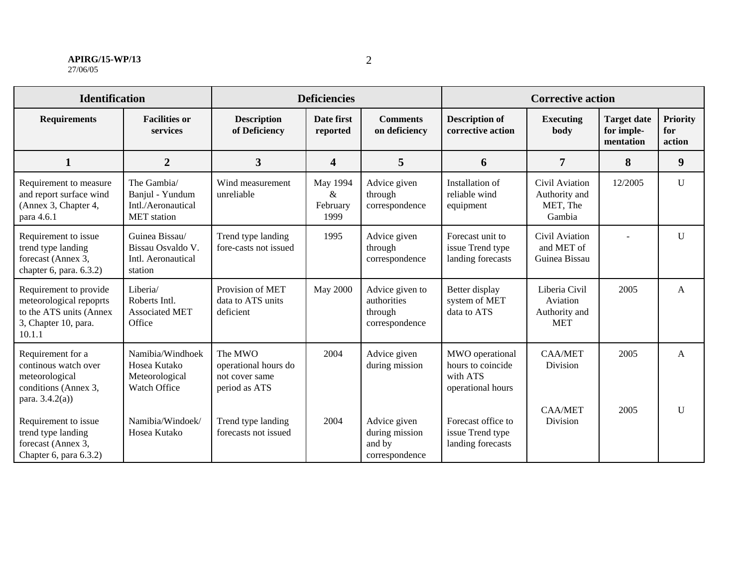#### **APIRG/15-WP/13** 27/06/05

| <b>Identification</b>                                                                                          |                                                                            | <b>Deficiencies</b>                                                |                                      |                                                             | <b>Corrective action</b>                                              |                                                          |                                               |                                  |
|----------------------------------------------------------------------------------------------------------------|----------------------------------------------------------------------------|--------------------------------------------------------------------|--------------------------------------|-------------------------------------------------------------|-----------------------------------------------------------------------|----------------------------------------------------------|-----------------------------------------------|----------------------------------|
| <b>Requirements</b>                                                                                            | <b>Facilities or</b><br>services                                           | <b>Description</b><br>of Deficiency                                | Date first<br>reported               | <b>Comments</b><br>on deficiency                            | <b>Description of</b><br>corrective action                            | Executing<br>body                                        | <b>Target date</b><br>for imple-<br>mentation | <b>Priority</b><br>for<br>action |
| $\mathbf{1}$                                                                                                   | $\overline{2}$                                                             | 3                                                                  | $\overline{\mathbf{4}}$              | 5                                                           | 6                                                                     | 7                                                        | 8                                             | 9                                |
| Requirement to measure<br>and report surface wind<br>(Annex 3, Chapter 4,<br>para 4.6.1                        | The Gambia/<br>Banjul - Yundum<br>Intl./Aeronautical<br><b>MET</b> station | Wind measurement<br>unreliable                                     | May 1994<br>$\&$<br>February<br>1999 | Advice given<br>through<br>correspondence                   | Installation of<br>reliable wind<br>equipment                         | Civil Aviation<br>Authority and<br>MET, The<br>Gambia    | 12/2005                                       | $\mathbf U$                      |
| Requirement to issue<br>trend type landing<br>forecast (Annex 3,<br>chapter 6, para. $6.3.2$ )                 | Guinea Bissau/<br>Bissau Osvaldo V.<br>Intl. Aeronautical<br>station       | Trend type landing<br>fore-casts not issued                        | 1995                                 | Advice given<br>through<br>correspondence                   | Forecast unit to<br>issue Trend type<br>landing forecasts             | Civil Aviation<br>and MET of<br>Guinea Bissau            |                                               | $\mathbf U$                      |
| Requirement to provide<br>meteorological repoprts<br>to the ATS units (Annex<br>3, Chapter 10, para.<br>10.1.1 | Liberia/<br>Roberts Intl.<br><b>Associated MET</b><br>Office               | Provision of MET<br>data to ATS units<br>deficient                 | <b>May 2000</b>                      | Advice given to<br>authorities<br>through<br>correspondence | Better display<br>system of MET<br>data to ATS                        | Liberia Civil<br>Aviation<br>Authority and<br><b>MET</b> | 2005                                          | $\mathbf{A}$                     |
| Requirement for a<br>continous watch over<br>meteorological<br>conditions (Annex 3,<br>para. $3.4.2(a)$ )      | Namibia/Windhoek<br>Hosea Kutako<br>Meteorological<br>Watch Office         | The MWO<br>operational hours do<br>not cover same<br>period as ATS | 2004                                 | Advice given<br>during mission                              | MWO operational<br>hours to coincide<br>with ATS<br>operational hours | <b>CAA/MET</b><br>Division                               | 2005                                          | $\mathbf{A}$                     |
| Requirement to issue<br>trend type landing<br>forecast (Annex 3,<br>Chapter 6, para 6.3.2)                     | Namibia/Windoek/<br>Hosea Kutako                                           | Trend type landing<br>forecasts not issued                         | 2004                                 | Advice given<br>during mission<br>and by<br>correspondence  | Forecast office to<br>issue Trend type<br>landing forecasts           | <b>CAA/MET</b><br>Division                               | 2005                                          | $\mathbf{U}$                     |

2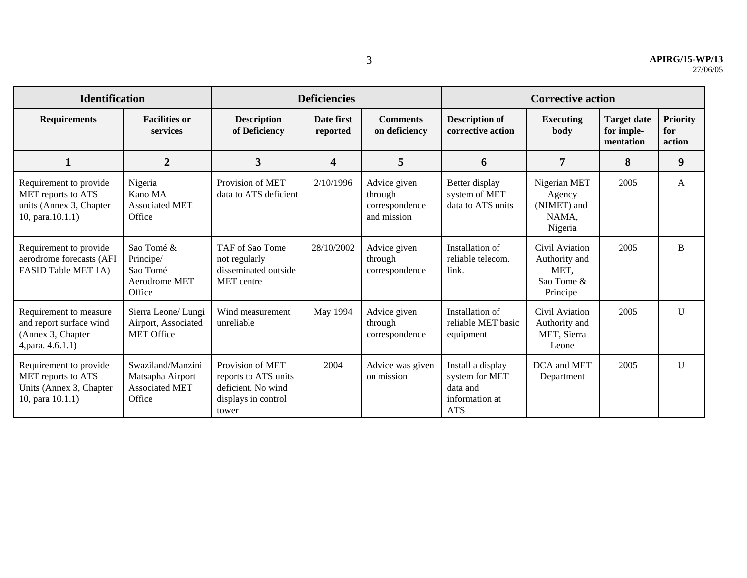| <b>Identification</b>                                                                          |                                                                          | <b>Deficiencies</b>                                                                            |                         |                                                          | <b>Corrective action</b>                                                        |                                                                   |                                               |                                  |
|------------------------------------------------------------------------------------------------|--------------------------------------------------------------------------|------------------------------------------------------------------------------------------------|-------------------------|----------------------------------------------------------|---------------------------------------------------------------------------------|-------------------------------------------------------------------|-----------------------------------------------|----------------------------------|
| <b>Requirements</b>                                                                            | <b>Facilities or</b><br>services                                         | <b>Description</b><br>of Deficiency                                                            | Date first<br>reported  | <b>Comments</b><br>on deficiency                         | <b>Description of</b><br>corrective action                                      | <b>Executing</b><br>body                                          | <b>Target date</b><br>for imple-<br>mentation | <b>Priority</b><br>for<br>action |
| 1                                                                                              | $\overline{2}$                                                           | $\overline{3}$                                                                                 | $\overline{\mathbf{4}}$ | 5                                                        | 6                                                                               | 7                                                                 | 8                                             | 9                                |
| Requirement to provide<br>MET reports to ATS<br>units (Annex 3, Chapter<br>10, para $(10.1.1)$ | Nigeria<br>Kano MA<br><b>Associated MET</b><br>Office                    | Provision of MET<br>data to ATS deficient                                                      | 2/10/1996               | Advice given<br>through<br>correspondence<br>and mission | Better display<br>system of MET<br>data to ATS units                            | Nigerian MET<br>Agency<br>(NIMET) and<br>NAMA.<br>Nigeria         | 2005                                          | A                                |
| Requirement to provide<br>aerodrome forecasts (AFI<br>FASID Table MET 1A)                      | Sao Tomé &<br>Principe/<br>Sao Tomé<br>Aerodrome MET<br>Office           | TAF of Sao Tome<br>not regularly<br>disseminated outside<br><b>MET</b> centre                  | 28/10/2002              | Advice given<br>through<br>correspondence                | Installation of<br>reliable telecom.<br>link.                                   | Civil Aviation<br>Authority and<br>MET,<br>Sao Tome &<br>Principe | 2005                                          | B                                |
| Requirement to measure<br>and report surface wind<br>(Annex 3, Chapter<br>4, para. 4.6.1.1)    | Sierra Leone/ Lungi<br>Airport, Associated<br><b>MET Office</b>          | Wind measurement<br>unreliable                                                                 | May 1994                | Advice given<br>through<br>correspondence                | Installation of<br>reliable MET basic<br>equipment                              | Civil Aviation<br>Authority and<br>MET, Sierra<br>Leone           | 2005                                          | $\mathbf{U}$                     |
| Requirement to provide<br>MET reports to ATS<br>Units (Annex 3, Chapter<br>10, para 10.1.1)    | Swaziland/Manzini<br>Matsapha Airport<br><b>Associated MET</b><br>Office | Provision of MET<br>reports to ATS units<br>deficient. No wind<br>displays in control<br>tower | 2004                    | Advice was given<br>on mission                           | Install a display<br>system for MET<br>data and<br>information at<br><b>ATS</b> | DCA and MET<br>Department                                         | 2005                                          | $\mathbf{U}$                     |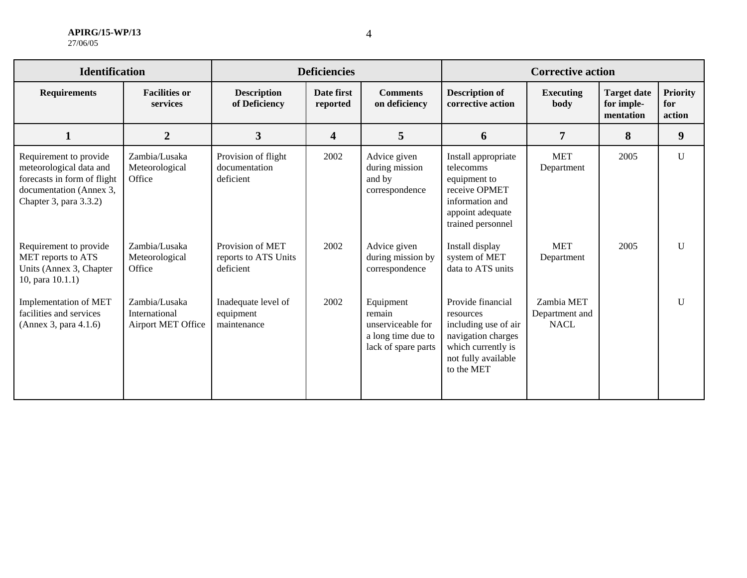| <b>APIRG/15-WP/13</b> |
|-----------------------|
| 27/06/05              |

| <b>Identification</b>                                                                                                                 |                                                      | <b>Deficiencies</b>                                   |                        |                                                                                       | <b>Corrective action</b>                                                                                                                |                                             |                                               |                                  |
|---------------------------------------------------------------------------------------------------------------------------------------|------------------------------------------------------|-------------------------------------------------------|------------------------|---------------------------------------------------------------------------------------|-----------------------------------------------------------------------------------------------------------------------------------------|---------------------------------------------|-----------------------------------------------|----------------------------------|
| <b>Requirements</b>                                                                                                                   | <b>Facilities or</b><br>services                     | <b>Description</b><br>of Deficiency                   | Date first<br>reported | <b>Comments</b><br>on deficiency                                                      | <b>Description of</b><br>corrective action                                                                                              | <b>Executing</b><br>body                    | <b>Target date</b><br>for imple-<br>mentation | <b>Priority</b><br>for<br>action |
| $\mathbf{1}$                                                                                                                          | $\overline{2}$                                       | $\overline{3}$                                        | 4                      | 5                                                                                     | 6                                                                                                                                       | 7                                           | 8                                             | 9                                |
| Requirement to provide<br>meteorological data and<br>forecasts in form of flight<br>documentation (Annex 3,<br>Chapter 3, para 3.3.2) | Zambia/Lusaka<br>Meteorological<br>Office            | Provision of flight<br>documentation<br>deficient     | 2002                   | Advice given<br>during mission<br>and by<br>correspondence                            | Install appropriate<br>telecomms<br>equipment to<br>receive OPMET<br>information and<br>appoint adequate<br>trained personnel           | <b>MET</b><br>Department                    | 2005                                          | U                                |
| Requirement to provide<br>MET reports to ATS<br>Units (Annex 3, Chapter<br>10, para 10.1.1)                                           | Zambia/Lusaka<br>Meteorological<br>Office            | Provision of MET<br>reports to ATS Units<br>deficient | 2002                   | Advice given<br>during mission by<br>correspondence                                   | Install display<br>system of MET<br>data to ATS units                                                                                   | <b>MET</b><br>Department                    | 2005                                          | $\mathbf{U}$                     |
| Implementation of MET<br>facilities and services<br>(Annex 3, para 4.1.6)                                                             | Zambia/Lusaka<br>International<br>Airport MET Office | Inadequate level of<br>equipment<br>maintenance       | 2002                   | Equipment<br>remain<br>unserviceable for<br>a long time due to<br>lack of spare parts | Provide financial<br>resources<br>including use of air<br>navigation charges<br>which currently is<br>not fully available<br>to the MET | Zambia MET<br>Department and<br><b>NACL</b> |                                               | $\mathbf{U}$                     |